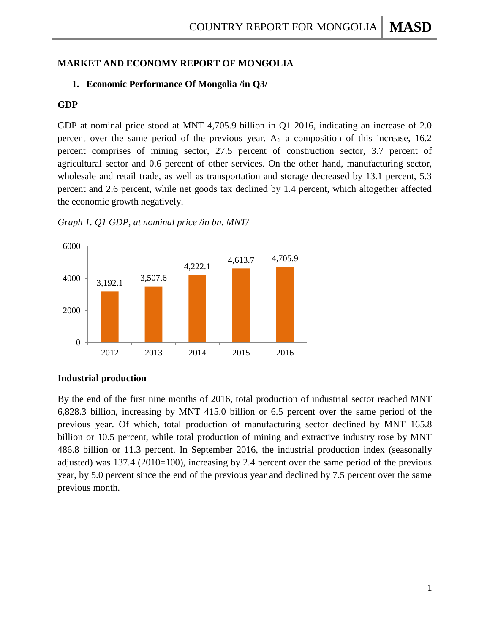# **MARKET AND ECONOMY REPORT OF MONGOLIA**

# **1. Economic Performance Of Mongolia /in Q3/**

### **GDP**

GDP at nominal price stood at MNT 4,705.9 billion in Q1 2016, indicating an increase of 2.0 percent over the same period of the previous year. As a composition of this increase, 16.2 percent comprises of mining sector, 27.5 percent of construction sector, 3.7 percent of agricultural sector and 0.6 percent of other services. On the other hand, manufacturing sector, wholesale and retail trade, as well as transportation and storage decreased by 13.1 percent, 5.3 percent and 2.6 percent, while net goods tax declined by 1.4 percent, which altogether affected the economic growth negatively.





#### **Industrial production**

By the end of the first nine months of 2016, total production of industrial sector reached MNT 6,828.3 billion, increasing by MNT 415.0 billion or 6.5 percent over the same period of the previous year. Of which, total production of manufacturing sector declined by MNT 165.8 billion or 10.5 percent, while total production of mining and extractive industry rose by MNT 486.8 billion or 11.3 percent. In September 2016, the industrial production index (seasonally adjusted) was 137.4 (2010=100), increasing by 2.4 percent over the same period of the previous year, by 5.0 percent since the end of the previous year and declined by 7.5 percent over the same previous month.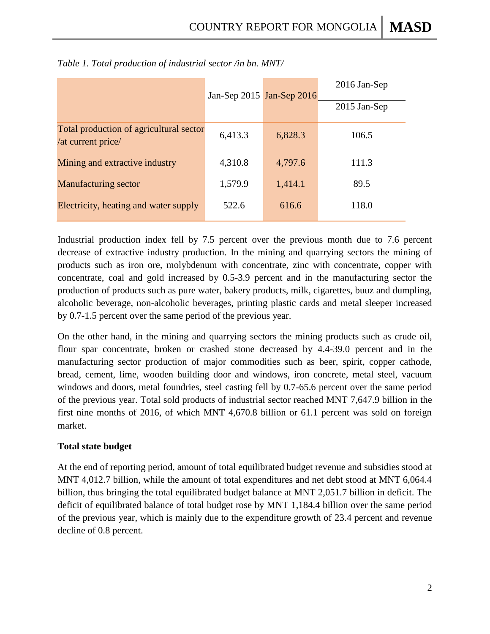|                                                               |         | Jan-Sep 2015 Jan-Sep 2016 | 2016 Jan-Sep   |  |
|---------------------------------------------------------------|---------|---------------------------|----------------|--|
|                                                               |         |                           | $2015$ Jan-Sep |  |
| Total production of agricultural sector<br>/at current price/ | 6,413.3 | 6,828.3                   | 106.5          |  |
| Mining and extractive industry                                | 4,310.8 | 4,797.6                   | 111.3          |  |
| <b>Manufacturing sector</b>                                   | 1,579.9 | 1,414.1                   | 89.5           |  |
| Electricity, heating and water supply                         | 522.6   | 616.6                     | 118.0          |  |

| Table 1. Total production of industrial sector /in bn. MNT/ |  |  |  |  |
|-------------------------------------------------------------|--|--|--|--|
|-------------------------------------------------------------|--|--|--|--|

Industrial production index fell by 7.5 percent over the previous month due to 7.6 percent decrease of extractive industry production. In the mining and quarrying sectors the mining of products such as iron ore, molybdenum with concentrate, zinc with concentrate, copper with concentrate, coal and gold increased by 0.5-3.9 percent and in the manufacturing sector the production of products such as pure water, bakery products, milk, cigarettes, buuz and dumpling, alcoholic beverage, non-alcoholic beverages, printing plastic cards and metal sleeper increased by 0.7-1.5 percent over the same period of the previous year.

On the other hand, in the mining and quarrying sectors the mining products such as crude oil, flour spar concentrate, broken or crashed stone decreased by 4.4-39.0 percent and in the manufacturing sector production of major commodities such as beer, spirit, copper cathode, bread, cement, lime, wooden building door and windows, iron concrete, metal steel, vacuum windows and doors, metal foundries, steel casting fell by 0.7-65.6 percent over the same period of the previous year. Total sold products of industrial sector reached MNT 7,647.9 billion in the first nine months of 2016, of which MNT 4,670.8 billion or 61.1 percent was sold on foreign market.

# **Total state budget**

At the end of reporting period, amount of total equilibrated budget revenue and subsidies stood at MNT 4,012.7 billion, while the amount of total expenditures and net debt stood at MNT 6,064.4 billion, thus bringing the total equilibrated budget balance at MNT 2,051.7 billion in deficit. The deficit of equilibrated balance of total budget rose by MNT 1,184.4 billion over the same period of the previous year, which is mainly due to the expenditure growth of 23.4 percent and revenue decline of 0.8 percent.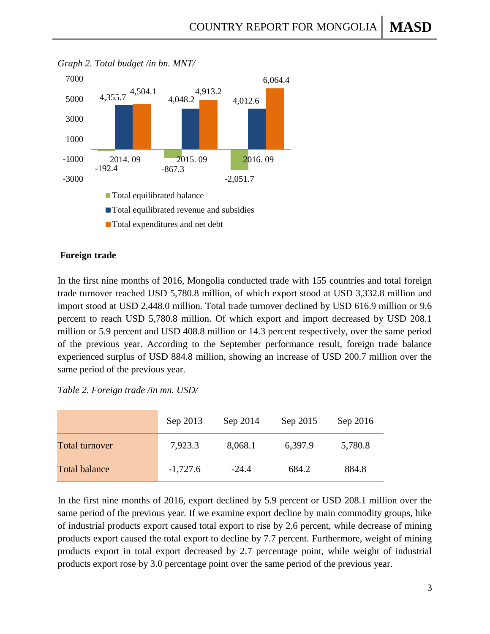

*Graph 2. Total budget /in bn. MNT/*

### **Foreign trade**

In the first nine months of 2016, Mongolia conducted trade with 155 countries and total foreign trade turnover reached USD 5,780.8 million, of which export stood at USD 3,332.8 million and import stood at USD 2,448.0 million. Total trade turnover declined by USD 616.9 million or 9.6 percent to reach USD 5,780.8 million. Of which export and import decreased by USD 208.1 million or 5.9 percent and USD 408.8 million or 14.3 percent respectively, over the same period of the previous year. According to the September performance result, foreign trade balance experienced surplus of USD 884.8 million, showing an increase of USD 200.7 million over the same period of the previous year.

|  |  | Table 2. Foreign trade /in mn. USD/ |  |  |
|--|--|-------------------------------------|--|--|
|--|--|-------------------------------------|--|--|

|                       | Sep 2013   | Sep 2014 | Sep 2015 | Sep 2016 |
|-----------------------|------------|----------|----------|----------|
| <b>Total turnover</b> | 7,923.3    | 8,068.1  | 6,397.9  | 5,780.8  |
| <b>Total balance</b>  | $-1,727.6$ | $-24.4$  | 684.2    | 884.8    |

In the first nine months of 2016, export declined by 5.9 percent or USD 208.1 million over the same period of the previous year. If we examine export decline by main commodity groups, hike of industrial products export caused total export to rise by 2.6 percent, while decrease of mining products export caused the total export to decline by 7.7 percent. Furthermore, weight of mining products export in total export decreased by 2.7 percentage point, while weight of industrial products export rose by 3.0 percentage point over the same period of the previous year.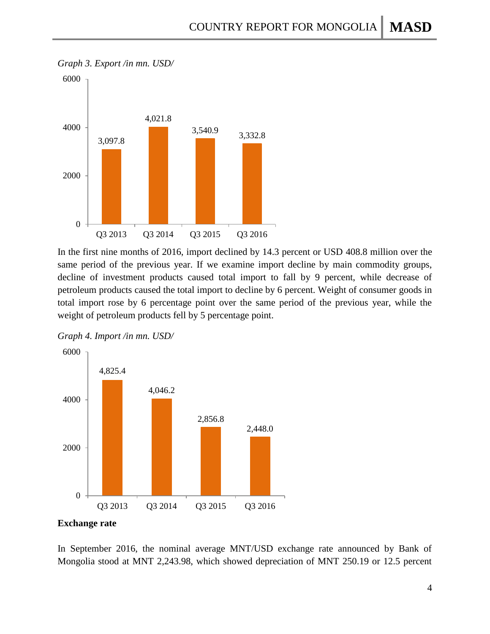

In the first nine months of 2016, import declined by 14.3 percent or USD 408.8 million over the same period of the previous year. If we examine import decline by main commodity groups, decline of investment products caused total import to fall by 9 percent, while decrease of petroleum products caused the total import to decline by 6 percent. Weight of consumer goods in total import rose by 6 percentage point over the same period of the previous year, while the weight of petroleum products fell by 5 percentage point.





#### **Exchange rate**

In September 2016, the nominal average MNT/USD exchange rate announced by Bank of Mongolia stood at MNT 2,243.98, which showed depreciation of MNT 250.19 or 12.5 percent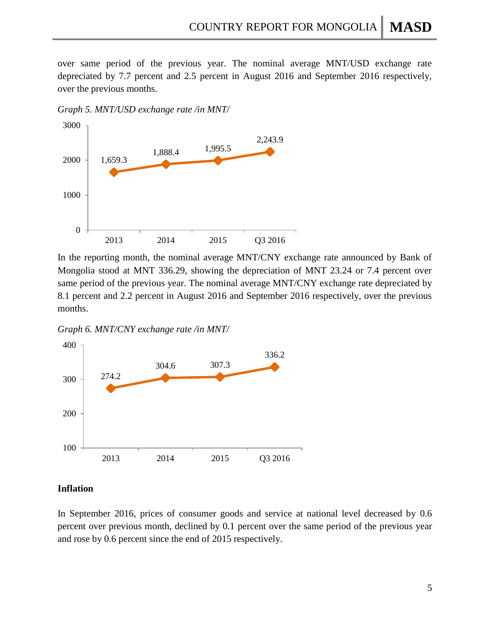over same period of the previous year. The nominal average MNT/USD exchange rate depreciated by 7.7 percent and 2.5 percent in August 2016 and September 2016 respectively, over the previous months.

*Graph 5. MNT/USD exchange rate /in MNT/*



In the reporting month, the nominal average MNT/CNY exchange rate announced by Bank of Mongolia stood at MNT 336.29, showing the depreciation of MNT 23.24 or 7.4 percent over same period of the previous year. The nominal average MNT/CNY exchange rate depreciated by 8.1 percent and 2.2 percent in August 2016 and September 2016 respectively, over the previous months.

*Graph 6. MNT/CNY exchange rate /in MNT/*



### **Inflation**

In September 2016, prices of consumer goods and service at national level decreased by 0.6 percent over previous month, declined by 0.1 percent over the same period of the previous year and rose by 0.6 percent since the end of 2015 respectively.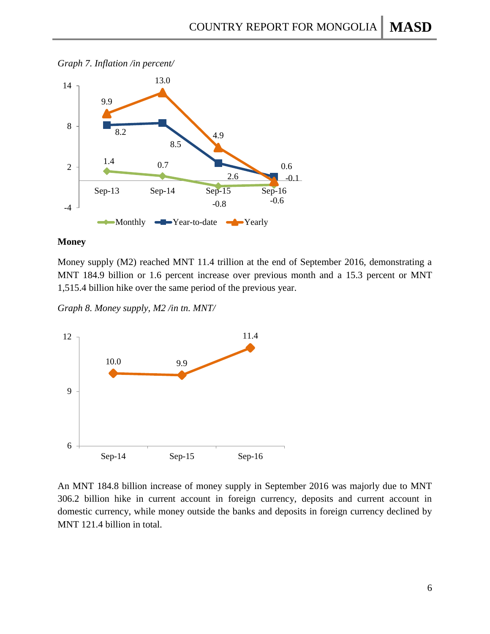



### **Money**

Money supply (M2) reached MNT 11.4 trillion at the end of September 2016, demonstrating a MNT 184.9 billion or 1.6 percent increase over previous month and a 15.3 percent or MNT 1,515.4 billion hike over the same period of the previous year.

*Graph 8. Money supply, M2 /in tn. MNT/*



An MNT 184.8 billion increase of money supply in September 2016 was majorly due to MNT 306.2 billion hike in current account in foreign currency, deposits and current account in domestic currency, while money outside the banks and deposits in foreign currency declined by MNT 121.4 billion in total.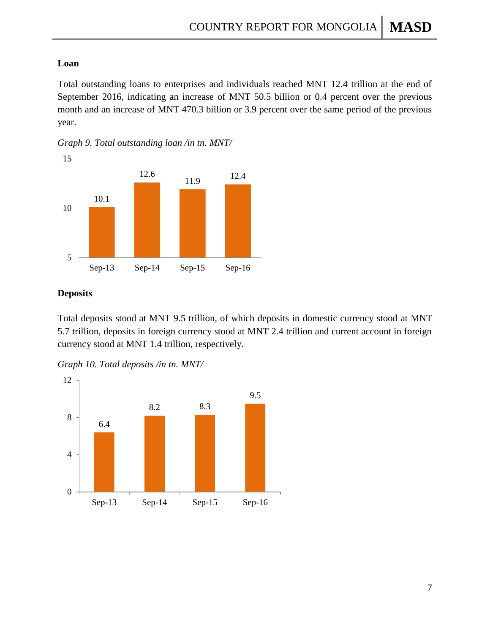# **Loan**

Total outstanding loans to enterprises and individuals reached MNT 12.4 trillion at the end of September 2016, indicating an increase of MNT 50.5 billion or 0.4 percent over the previous month and an increase of MNT 470.3 billion or 3.9 percent over the same period of the previous year.





# **Deposits**

Total deposits stood at MNT 9.5 trillion, of which deposits in domestic currency stood at MNT 5.7 trillion, deposits in foreign currency stood at MNT 2.4 trillion and current account in foreign currency stood at MNT 1.4 trillion, respectively.

*Graph 10. Total deposits /in tn. MNT/*

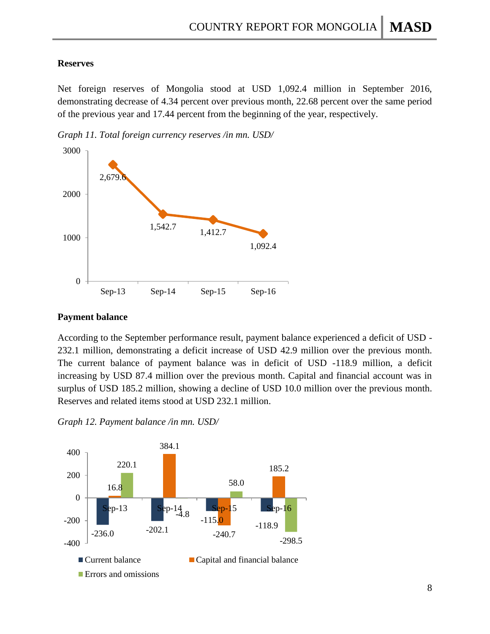### **Reserves**

Net foreign reserves of Mongolia stood at USD 1,092.4 million in September 2016, demonstrating decrease of 4.34 percent over previous month, 22.68 percent over the same period of the previous year and 17.44 percent from the beginning of the year, respectively.

*Graph 11. Total foreign currency reserves /in mn. USD/*



#### **Payment balance**

According to the September performance result, payment balance experienced a deficit of USD - 232.1 million, demonstrating a deficit increase of USD 42.9 million over the previous month. The current balance of payment balance was in deficit of USD -118.9 million, a deficit increasing by USD 87.4 million over the previous month. Capital and financial account was in surplus of USD 185.2 million, showing a decline of USD 10.0 million over the previous month. Reserves and related items stood at USD 232.1 million.

*Graph 12. Payment balance /in mn. USD/*

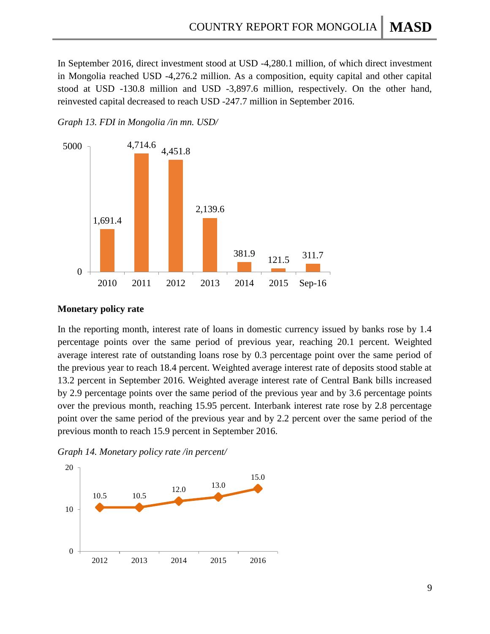In September 2016, direct investment stood at USD -4,280.1 million, of which direct investment in Mongolia reached USD -4,276.2 million. As a composition, equity capital and other capital stood at USD -130.8 million and USD -3,897.6 million, respectively. On the other hand, reinvested capital decreased to reach USD -247.7 million in September 2016.

### *Graph 13. FDI in Mongolia /in mn. USD/*



#### **Monetary policy rate**

In the reporting month, interest rate of loans in domestic currency issued by banks rose by 1.4 percentage points over the same period of previous year, reaching 20.1 percent. Weighted average interest rate of outstanding loans rose by 0.3 percentage point over the same period of the previous year to reach 18.4 percent. Weighted average interest rate of deposits stood stable at 13.2 percent in September 2016. Weighted average interest rate of Central Bank bills increased by 2.9 percentage points over the same period of the previous year and by 3.6 percentage points over the previous month, reaching 15.95 percent. Interbank interest rate rose by 2.8 percentage point over the same period of the previous year and by 2.2 percent over the same period of the previous month to reach 15.9 percent in September 2016.



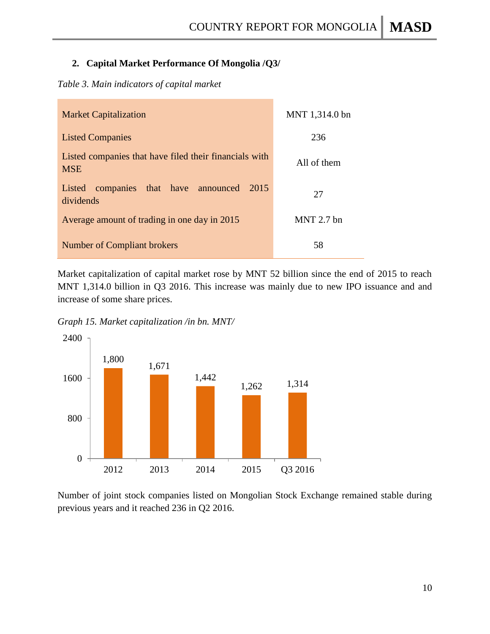# **2. Capital Market Performance Of Mongolia /Q3/**

# *Table 3. Main indicators of capital market*

| <b>Market Capitalization</b>                                         | MNT 1,314.0 bn |
|----------------------------------------------------------------------|----------------|
| <b>Listed Companies</b>                                              | 236            |
| Listed companies that have filed their financials with<br><b>MSE</b> | All of them    |
| companies that have announced<br>2015<br>Listed<br>dividends         | 27             |
| Average amount of trading in one day in 2015                         | $MNT$ 2.7 bn   |
| <b>Number of Compliant brokers</b>                                   | 58             |

Market capitalization of capital market rose by MNT 52 billion since the end of 2015 to reach MNT 1,314.0 billion in Q3 2016. This increase was mainly due to new IPO issuance and and increase of some share prices.

*Graph 15. Market capitalization /in bn. MNT/*



Number of joint stock companies listed on Mongolian Stock Exchange remained stable during previous years and it reached 236 in Q2 2016.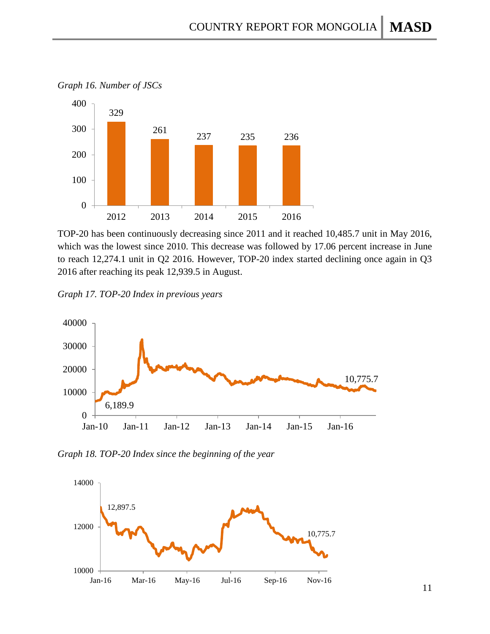



TOP-20 has been continuously decreasing since 2011 and it reached 10,485.7 unit in May 2016, which was the lowest since 2010. This decrease was followed by 17.06 percent increase in June to reach 12,274.1 unit in Q2 2016. However, TOP-20 index started declining once again in Q3 2016 after reaching its peak 12,939.5 in August.

*Graph 17. TOP-20 Index in previous years*



*Graph 18. TOP-20 Index since the beginning of the year*

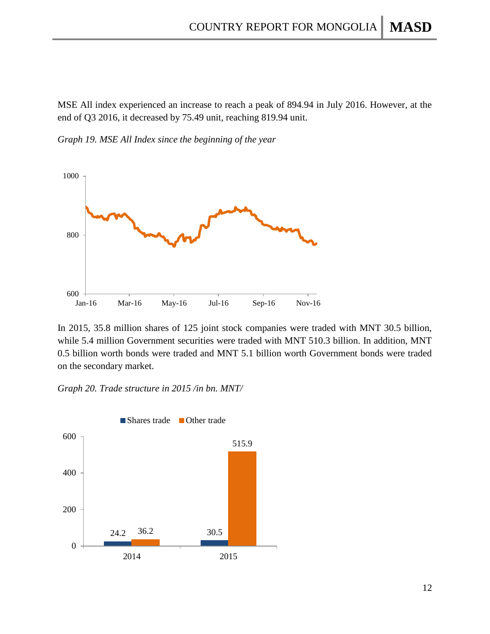MSE All index experienced an increase to reach a peak of 894.94 in July 2016. However, at the end of Q3 2016, it decreased by 75.49 unit, reaching 819.94 unit.

*Graph 19. MSE All Index since the beginning of the year*



In 2015, 35.8 million shares of 125 joint stock companies were traded with MNT 30.5 billion, while 5.4 million Government securities were traded with MNT 510.3 billion. In addition, MNT 0.5 billion worth bonds were traded and MNT 5.1 billion worth Government bonds were traded on the secondary market.

*Graph 20. Trade structure in 2015 /in bn. MNT/*